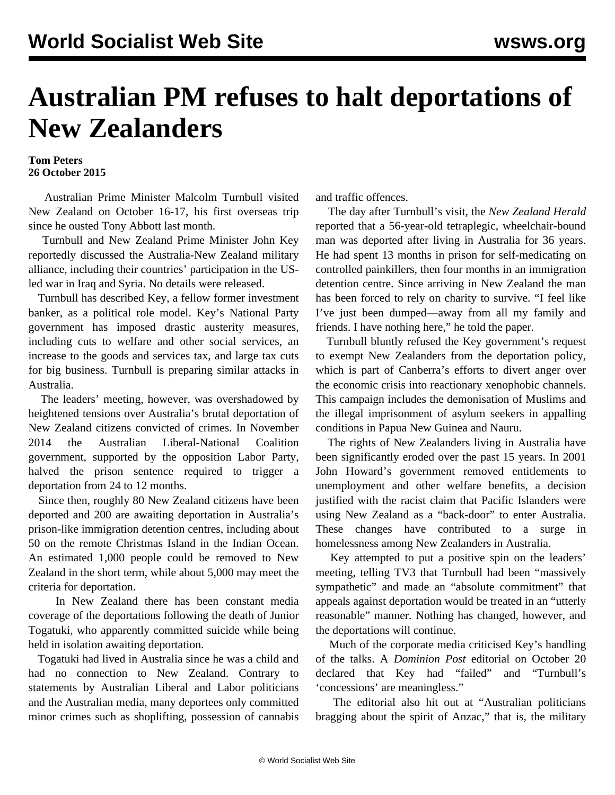## **Australian PM refuses to halt deportations of New Zealanders**

## **Tom Peters 26 October 2015**

 Australian Prime Minister Malcolm Turnbull visited New Zealand on October 16-17, his first overseas trip since he ousted Tony Abbott last month.

 Turnbull and New Zealand Prime Minister John Key reportedly discussed the Australia-New Zealand military alliance, including their countries' participation in the USled war in Iraq and Syria. No details were released.

 Turnbull has described Key, a fellow former investment banker, as a political role model. Key's National Party government has imposed drastic austerity measures, including cuts to welfare and other social services, an increase to the goods and services tax, and large tax cuts for big business. Turnbull is preparing similar attacks in Australia.

 The leaders' meeting, however, was overshadowed by heightened tensions over Australia's brutal deportation of New Zealand citizens convicted of crimes. In November 2014 the Australian Liberal-National Coalition government, supported by the opposition Labor Party, halved the prison sentence required to trigger a deportation from 24 to 12 months.

 Since then, roughly 80 New Zealand citizens have been deported and 200 are awaiting deportation in Australia's prison-like immigration detention centres, including about 50 on the remote Christmas Island in the Indian Ocean. An estimated 1,000 people could be removed to New Zealand in the short term, while about 5,000 may meet the criteria for deportation.

 In New Zealand there has been constant media coverage of the deportations following the [death](/en/articles/2015/10/06/depo-o06.html) of Junior Togatuki, who apparently committed suicide while being held in isolation awaiting deportation.

 Togatuki had lived in Australia since he was a child and had no connection to New Zealand. Contrary to statements by Australian Liberal and Labor politicians and the Australian media, many deportees only committed minor crimes such as shoplifting, possession of cannabis

and traffic offences.

 The day after Turnbull's visit, the *New Zealand Herald* reported that a 56-year-old tetraplegic, wheelchair-bound man was deported after living in Australia for 36 years. He had spent 13 months in prison for self-medicating on controlled painkillers, then four months in an immigration detention centre. Since arriving in New Zealand the man has been forced to rely on charity to survive. "I feel like I've just been dumped—away from all my family and friends. I have nothing here," he told the paper.

 Turnbull bluntly refused the Key government's request to exempt New Zealanders from the deportation policy, which is part of Canberra's efforts to divert anger over the economic crisis into reactionary xenophobic channels. This campaign includes the demonisation of Muslims and the illegal imprisonment of asylum seekers in appalling conditions in Papua New Guinea and Nauru.

 The rights of New Zealanders living in Australia have been significantly eroded over the past 15 years. In 2001 John Howard's government removed entitlements to unemployment and other welfare benefits, a decision justified with the racist claim that Pacific Islanders were using New Zealand as a "back-door" to enter Australia. These changes have contributed to a surge in homelessness among New Zealanders in Australia.

 Key attempted to put a positive spin on the leaders' meeting, telling TV3 that Turnbull had been "massively sympathetic" and made an "absolute commitment" that appeals against deportation would be treated in an "utterly reasonable" manner. Nothing has changed, however, and the deportations will continue.

 Much of the corporate media criticised Key's handling of the talks. A *Dominion Post* editorial on October 20 declared that Key had "failed" and "Turnbull's 'concessions' are meaningless."

 The editorial also hit out at "Australian politicians bragging about the spirit of Anzac," that is, the military